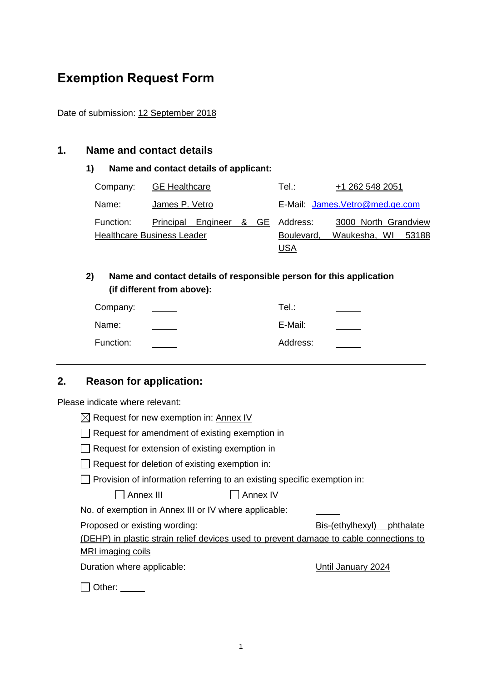# **Exemption Request Form**

Date of submission: 12 September 2018

### **1. Name and contact details**

#### **1) Name and contact details of applicant:**

| Company:  | <b>GE</b> Healthcare              |  |  | Tel :                           | +1 262 548 2051       |  |  |  |
|-----------|-----------------------------------|--|--|---------------------------------|-----------------------|--|--|--|
| Name:     | James P. Vetro                    |  |  | E-Mail: James. Vetro@med.ge.com |                       |  |  |  |
| Function: | Principal Engineer & GE Address:  |  |  |                                 | 3000 North Grandview  |  |  |  |
|           | <b>Healthcare Business Leader</b> |  |  | Boulevard,                      | Waukesha, WI<br>53188 |  |  |  |
|           |                                   |  |  | USA                             |                       |  |  |  |

### **2) Name and contact details of responsible person for this application (if different from above):**

| Company:  | Tel.∶    |  |
|-----------|----------|--|
| Name:     | E-Mail:  |  |
| Function: | Address: |  |

# **2. Reason for application:**

Please indicate where relevant:

| Request for new exemption in: Annex IV                                                 |  |  |  |  |  |  |  |
|----------------------------------------------------------------------------------------|--|--|--|--|--|--|--|
| Request for amendment of existing exemption in                                         |  |  |  |  |  |  |  |
| Request for extension of existing exemption in                                         |  |  |  |  |  |  |  |
| Request for deletion of existing exemption in:                                         |  |  |  |  |  |  |  |
| Provision of information referring to an existing specific exemption in:               |  |  |  |  |  |  |  |
| Annex III<br>Annex IV                                                                  |  |  |  |  |  |  |  |
| No. of exemption in Annex III or IV where applicable:                                  |  |  |  |  |  |  |  |
| Proposed or existing wording:<br>Bis-(ethylhexyl)<br>phthalate                         |  |  |  |  |  |  |  |
| (DEHP) in plastic strain relief devices used to prevent damage to cable connections to |  |  |  |  |  |  |  |
| <b>MRI</b> imaging coils                                                               |  |  |  |  |  |  |  |
| Duration where applicable:<br>Until January 2024                                       |  |  |  |  |  |  |  |
| ⊃ther:                                                                                 |  |  |  |  |  |  |  |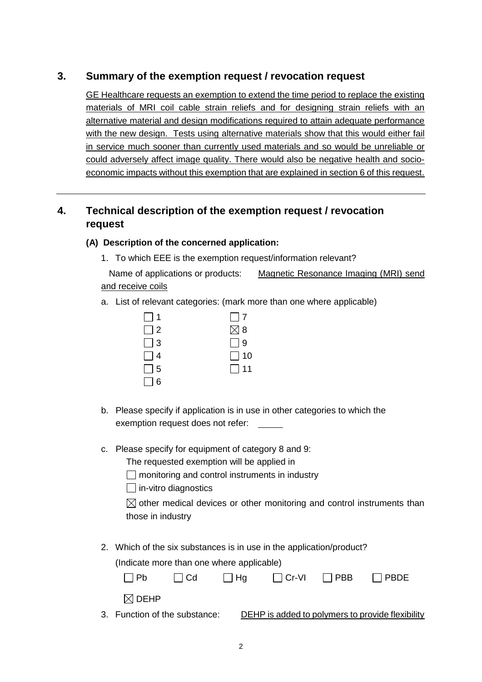## **3. Summary of the exemption request / revocation request**

GE Healthcare requests an exemption to extend the time period to replace the existing materials of MRI coil cable strain reliefs and for designing strain reliefs with an alternative material and design modifications required to attain adequate performance with the new design. Tests using alternative materials show that this would either fail in service much sooner than currently used materials and so would be unreliable or could adversely affect image quality. There would also be negative health and socioeconomic impacts without this exemption that are explained in section 6 of this request.

# **4. Technical description of the exemption request / revocation request**

#### **(A) Description of the concerned application:**

1. To which EEE is the exemption request/information relevant?

Name of applications or products: Magnetic Resonance Imaging (MRI) send and receive coils

a. List of relevant categories: (mark more than one where applicable)

| $\Box$ 1 | $\vert$   7   |
|----------|---------------|
| $\Box$ 2 | $\boxtimes$ 8 |
| $\Box$ 3 | $\Box$ 9      |
| $\Box$ 4 | $\Box$ 10     |
| $\Box$ 5 | $\Box$ 11     |
| $\Box$ 6 |               |

- b. Please specify if application is in use in other categories to which the exemption request does not refer: \_\_\_\_\_
- c. Please specify for equipment of category 8 and 9:

The requested exemption will be applied in

 $\Box$  monitoring and control instruments in industry

 $\Box$  in-vitro diagnostics

 $\boxtimes$  other medical devices or other monitoring and control instruments than those in industry

2. Which of the six substances is in use in the application/product?

(Indicate more than one where applicable)

| l IPb                         | l I Cd | l I Ha |  | $\Box$ Cr-VI $\Box$ PBB $\Box$ PBDE              |
|-------------------------------|--------|--------|--|--------------------------------------------------|
| $\boxtimes$ DEHP              |        |        |  |                                                  |
| 3. Function of the substance: |        |        |  | DEHP is added to polymers to provide flexibility |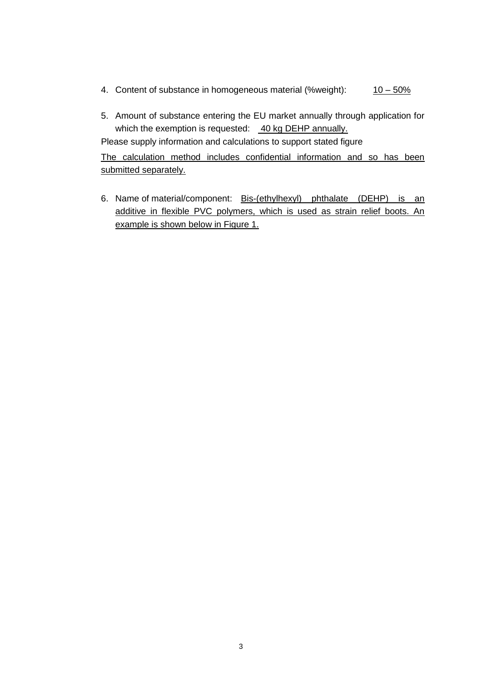- 4. Content of substance in homogeneous material (%weight):  $10-50\%$
- 5. Amount of substance entering the EU market annually through application for which the exemption is requested: 40 kg DEHP annually.

Please supply information and calculations to support stated figure

The calculation method includes confidential information and so has been submitted separately.

6. Name of material/component: Bis-(ethylhexyl) phthalate (DEHP) is an additive in flexible PVC polymers, which is used as strain relief boots. An example is shown below in [Figure 1.](#page-3-0)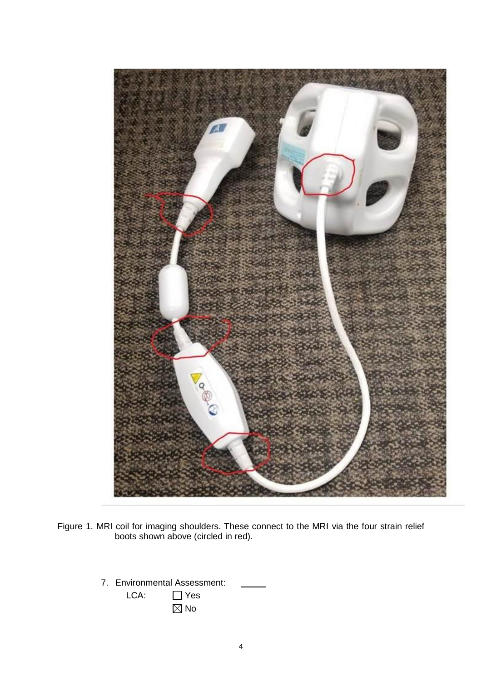

Figure 1. MRI coil for imaging shoulders. These connect to the MRI via the four strain relief boots shown above (circled in red).

- <span id="page-3-0"></span>7. Environmental Assessment:
	- LCA: □ Yes  $\overline{\boxtimes}$  No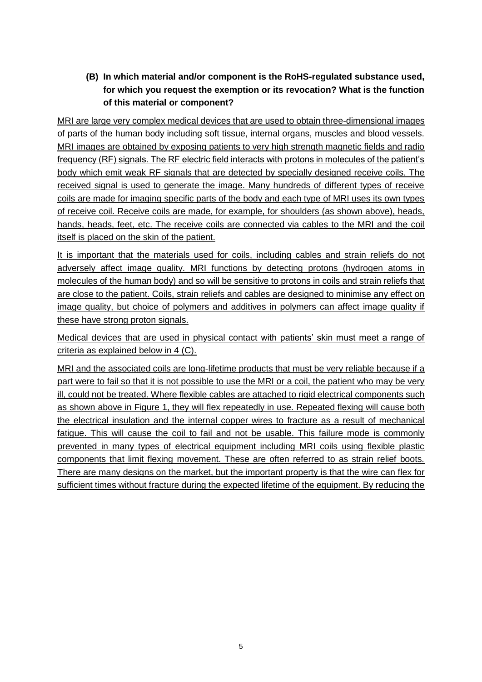**(B) In which material and/or component is the RoHS-regulated substance used, for which you request the exemption or its revocation? What is the function of this material or component?**

MRI are large very complex medical devices that are used to obtain three-dimensional images of parts of the human body including soft tissue, internal organs, muscles and blood vessels. MRI images are obtained by exposing patients to very high strength magnetic fields and radio frequency (RF) signals. The RF electric field interacts with protons in molecules of the patient's body which emit weak RF signals that are detected by specially designed receive coils. The received signal is used to generate the image. Many hundreds of different types of receive coils are made for imaging specific parts of the body and each type of MRI uses its own types of receive coil. Receive coils are made, for example, for shoulders (as shown above), heads, hands, heads, feet, etc. The receive coils are connected via cables to the MRI and the coil itself is placed on the skin of the patient.

It is important that the materials used for coils, including cables and strain reliefs do not adversely affect image quality. MRI functions by detecting protons (hydrogen atoms in molecules of the human body) and so will be sensitive to protons in coils and strain reliefs that are close to the patient. Coils, strain reliefs and cables are designed to minimise any effect on image quality, but choice of polymers and additives in polymers can affect image quality if these have strong proton signals.

Medical devices that are used in physical contact with patients' skin must meet a range of criteria as explained below in 4 (C).

MRI and the associated coils are long-lifetime products that must be very reliable because if a part were to fail so that it is not possible to use the MRI or a coil, the patient who may be very ill, could not be treated. Where flexible cables are attached to rigid electrical components such as shown above in [Figure 1,](#page-3-0) they will flex repeatedly in use. Repeated flexing will cause both the electrical insulation and the internal copper wires to fracture as a result of mechanical fatigue. This will cause the coil to fail and not be usable. This failure mode is commonly prevented in many types of electrical equipment including MRI coils using flexible plastic components that limit flexing movement. These are often referred to as strain relief boots. There are many designs on the market, but the important property is that the wire can flex for sufficient times without fracture during the expected lifetime of the equipment. By reducing the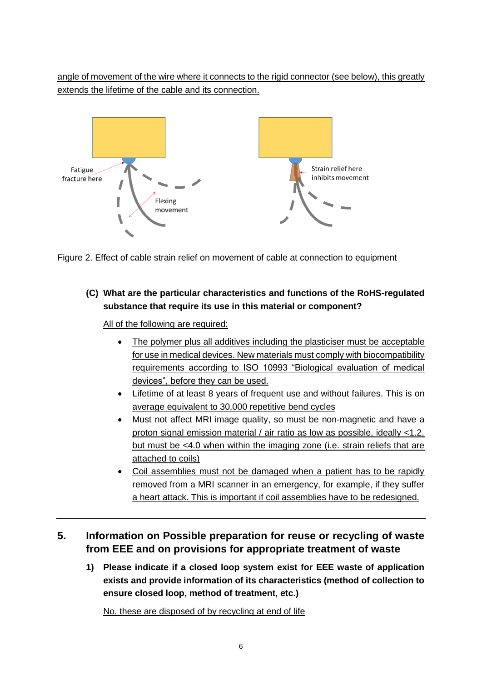angle of movement of the wire where it connects to the rigid connector (see below), this greatly extends the lifetime of the cable and its connection.





**(C) What are the particular characteristics and functions of the RoHS-regulated substance that require its use in this material or component?**

All of the following are required:

- The polymer plus all additives including the plasticiser must be acceptable for use in medical devices. New materials must comply with biocompatibility requirements according to ISO 10993 "Biological evaluation of medical devices", before they can be used.
- Lifetime of at least 8 years of frequent use and without failures. This is on average equivalent to 30,000 repetitive bend cycles
- Must not affect MRI image quality, so must be non-magnetic and have a proton signal emission material / air ratio as low as possible, ideally <1.2, but must be <4.0 when within the imaging zone (i.e. strain reliefs that are attached to coils)
- Coil assemblies must not be damaged when a patient has to be rapidly removed from a MRI scanner in an emergency, for example, if they suffer a heart attack. This is important if coil assemblies have to be redesigned.

### **5. Information on Possible preparation for reuse or recycling of waste from EEE and on provisions for appropriate treatment of waste**

**1) Please indicate if a closed loop system exist for EEE waste of application exists and provide information of its characteristics (method of collection to ensure closed loop, method of treatment, etc.)**

No, these are disposed of by recycling at end of life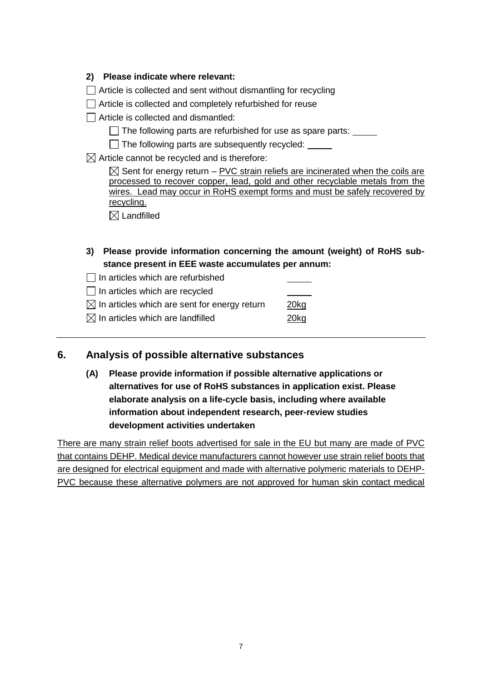#### **2) Please indicate where relevant:**

Article is collected and sent without dismantling for recycling

Article is collected and completely refurbished for reuse

 $\Box$  Article is collected and dismantled:

- $\Box$  The following parts are refurbished for use as spare parts:  $\Box$
- $\Box$  The following parts are subsequently recycled:

 $\boxtimes$  Article cannot be recycled and is therefore:

 $\boxtimes$  Sent for energy return – PVC strain reliefs are incinerated when the coils are processed to recover copper, lead, gold and other recyclable metals from the wires. Lead may occur in RoHS exempt forms and must be safely recovered by recycling.

 $\boxtimes$  Landfilled

**3) Please provide information concerning the amount (weight) of RoHS substance present in EEE waste accumulates per annum:**

 $\Box$  In articles which are refurbished

 $\Box$  In articles which are recycled

 $\boxtimes$  In articles which are sent for energy return 20kg

 $\boxtimes$  In articles which are landfilled 20kg

### **6. Analysis of possible alternative substances**

**(A) Please provide information if possible alternative applications or alternatives for use of RoHS substances in application exist. Please elaborate analysis on a life-cycle basis, including where available information about independent research, peer-review studies development activities undertaken**

There are many strain relief boots advertised for sale in the EU but many are made of PVC that contains DEHP. Medical device manufacturers cannot however use strain relief boots that are designed for electrical equipment and made with alternative polymeric materials to DEHP-PVC because these alternative polymers are not approved for human skin contact medical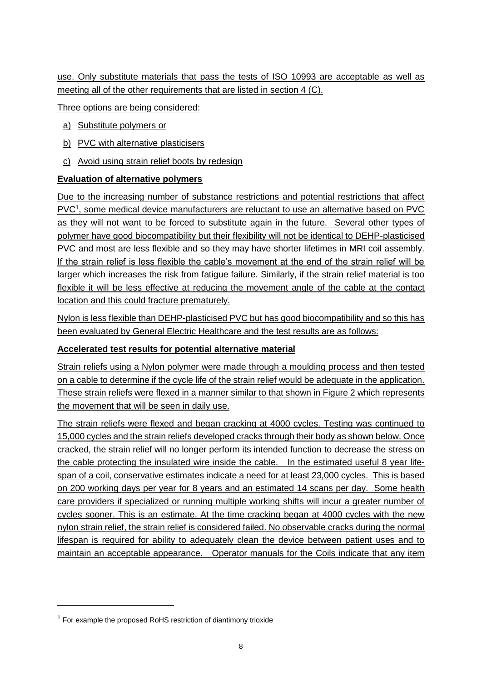use. Only substitute materials that pass the tests of ISO 10993 are acceptable as well as meeting all of the other requirements that are listed in section 4 (C).

Three options are being considered:

- a) Substitute polymers or
- b) PVC with alternative plasticisers
- c) Avoid using strain relief boots by redesign

#### **Evaluation of alternative polymers**

Due to the increasing number of substance restrictions and potential restrictions that affect PVC<sup>1</sup>, some medical device manufacturers are reluctant to use an alternative based on PVC as they will not want to be forced to substitute again in the future. Several other types of polymer have good biocompatibility but their flexibility will not be identical to DEHP-plasticised PVC and most are less flexible and so they may have shorter lifetimes in MRI coil assembly. If the strain relief is less flexible the cable's movement at the end of the strain relief will be larger which increases the risk from fatigue failure. Similarly, if the strain relief material is too flexible it will be less effective at reducing the movement angle of the cable at the contact location and this could fracture prematurely.

Nylon is less flexible than DEHP-plasticised PVC but has good biocompatibility and so this has been evaluated by General Electric Healthcare and the test results are as follows:

#### **Accelerated test results for potential alternative material**

Strain reliefs using a Nylon polymer were made through a moulding process and then tested on a cable to determine if the cycle life of the strain relief would be adequate in the application. These strain reliefs were flexed in a manner similar to that shown in Figure 2 which represents the movement that will be seen in daily use.

The strain reliefs were flexed and began cracking at 4000 cycles. Testing was continued to 15,000 cycles and the strain reliefs developed cracks through their body as shown below. Once cracked, the strain relief will no longer perform its intended function to decrease the stress on the cable protecting the insulated wire inside the cable. In the estimated useful 8 year lifespan of a coil, conservative estimates indicate a need for at least 23,000 cycles. This is based on 200 working days per year for 8 years and an estimated 14 scans per day. Some health care providers if specialized or running multiple working shifts will incur a greater number of cycles sooner. This is an estimate. At the time cracking began at 4000 cycles with the new nylon strain relief, the strain relief is considered failed. No observable cracks during the normal lifespan is required for ability to adequately clean the device between patient uses and to maintain an acceptable appearance. Operator manuals for the Coils indicate that any item

 $1$  For example the proposed RoHS restriction of diantimony trioxide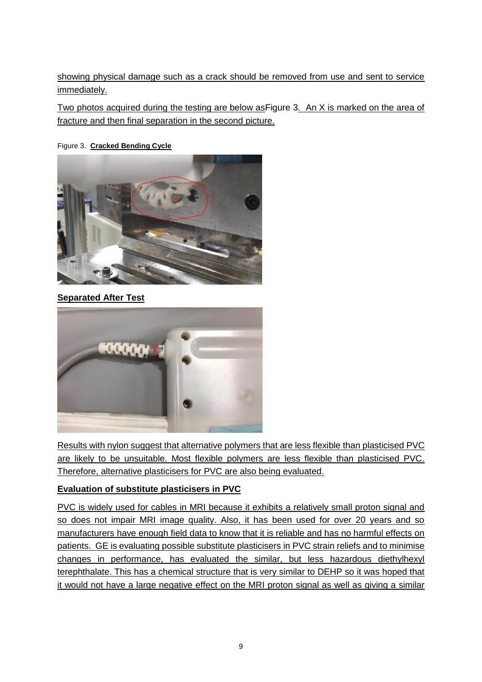showing physical damage such as a crack should be removed from use and sent to service immediately.

Two photos acquired during the testing are below a[sFigure 3.](#page-8-0) An X is marked on the area of fracture and then final separation in the second picture.

<span id="page-8-0"></span>Figure 3. **Cracked Bending Cycle**



**Separated After Test**



Results with nylon suggest that alternative polymers that are less flexible than plasticised PVC are likely to be unsuitable. Most flexible polymers are less flexible than plasticised PVC. Therefore, alternative plasticisers for PVC are also being evaluated.

### **Evaluation of substitute plasticisers in PVC**

PVC is widely used for cables in MRI because it exhibits a relatively small proton signal and so does not impair MRI image quality. Also, it has been used for over 20 years and so manufacturers have enough field data to know that it is reliable and has no harmful effects on patients. GE is evaluating possible substitute plasticisers in PVC strain reliefs and to minimise changes in performance, has evaluated the similar, but less hazardous diethylhexyl terephthalate. This has a chemical structure that is very similar to DEHP so it was hoped that it would not have a large negative effect on the MRI proton signal as well as giving a similar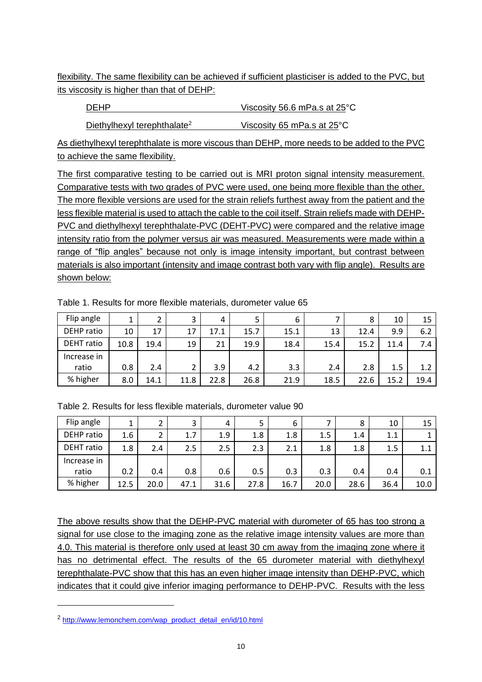flexibility. The same flexibility can be achieved if sufficient plasticiser is added to the PVC, but its viscosity is higher than that of DEHP:

DEHP Viscosity 56.6 mPa.s at 25<sup>°</sup>C

Diethylhexyl terephthalate<sup>2</sup> Viscosity 65 mPa.s at 25°C

As diethylhexyl terephthalate is more viscous than DEHP, more needs to be added to the PVC to achieve the same flexibility.

The first comparative testing to be carried out is MRI proton signal intensity measurement. Comparative tests with two grades of PVC were used, one being more flexible than the other. The more flexible versions are used for the strain reliefs furthest away from the patient and the less flexible material is used to attach the cable to the coil itself. Strain reliefs made with DEHP-PVC and diethylhexyl terephthalate-PVC (DEHT-PVC) were compared and the relative image intensity ratio from the polymer versus air was measured. Measurements were made within a range of "flip angles" because not only is image intensity important, but contrast between materials is also important (intensity and image contrast both vary with flip angle). Results are shown below:

| Flip angle        | 1    | າ<br>∠        | 3    | 4    |      | 6    |      | 8    | 10   | 15   |
|-------------------|------|---------------|------|------|------|------|------|------|------|------|
| DEHP ratio        | 10   | 17            | 17   | 17.1 | 15.7 | 15.1 | 13   | 12.4 | 9.9  | 6.2  |
| <b>DEHT</b> ratio | 10.8 | 19.4          | 19   | 21   | 19.9 | 18.4 | 15.4 | 15.2 | 11.4 | 7.4  |
| Increase in       |      |               |      |      |      |      |      |      |      |      |
| ratio             | 0.8  | $2.4^{\circ}$ |      | 3.9  | 4.2  | 3.3  | 2.4  | 2.8  | 1.5  | 1.2  |
| % higher          | 8.0  | 14.1          | 11.8 | 22.8 | 26.8 | 21.9 | 18.5 | 22.6 | 15.2 | 19.4 |

Table 1. Results for more flexible materials, durometer value 65

| Flip angle        |      | 2    | っ    | 4    | 5    | 6    |      | 8    | 10   | 15   |
|-------------------|------|------|------|------|------|------|------|------|------|------|
| DEHP ratio        | 1.6  | 2    | 1.7  | 1.9  | 1.8  | 1.8  | 1.5  | 1.4  | 1.1  |      |
| <b>DEHT</b> ratio | 1.8  | 2.4  | 2.5  | 2.5  | 2.3  | 2.1  | 1.8  | 1.8  | 1.5  | 1.1  |
| Increase in       |      |      |      |      |      |      |      |      |      |      |
| ratio             | 0.2  | 0.4  | 0.8  | 0.6  | 0.5  | 0.3  | 0.3  | 0.4  | 0.4  | 0.1  |
| % higher          | 12.5 | 20.0 | 47.1 | 31.6 | 27.8 | 16.7 | 20.0 | 28.6 | 36.4 | 10.0 |

The above results show that the DEHP-PVC material with durometer of 65 has too strong a signal for use close to the imaging zone as the relative image intensity values are more than 4.0. This material is therefore only used at least 30 cm away from the imaging zone where it has no detrimental effect. The results of the 65 durometer material with diethylhexyl terephthalate-PVC show that this has an even higher image intensity than DEHP-PVC, which indicates that it could give inferior imaging performance to DEHP-PVC. Results with the less

<sup>&</sup>lt;sup>2</sup> [http://www.lemonchem.com/wap\\_product\\_detail\\_en/id/10.html](http://www.lemonchem.com/wap_product_detail_en/id/10.html)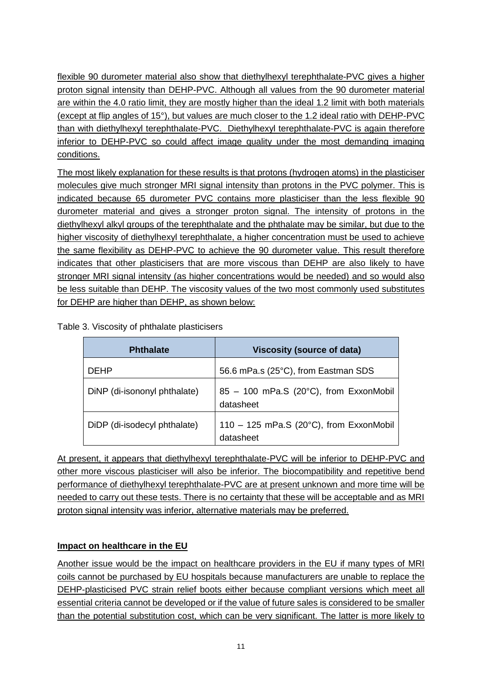flexible 90 durometer material also show that diethylhexyl terephthalate-PVC gives a higher proton signal intensity than DEHP-PVC. Although all values from the 90 durometer material are within the 4.0 ratio limit, they are mostly higher than the ideal 1.2 limit with both materials (except at flip angles of 15°), but values are much closer to the 1.2 ideal ratio with DEHP-PVC than with diethylhexyl terephthalate-PVC. Diethylhexyl terephthalate-PVC is again therefore inferior to DEHP-PVC so could affect image quality under the most demanding imaging conditions.

The most likely explanation for these results is that protons (hydrogen atoms) in the plasticiser molecules give much stronger MRI signal intensity than protons in the PVC polymer. This is indicated because 65 durometer PVC contains more plasticiser than the less flexible 90 durometer material and gives a stronger proton signal. The intensity of protons in the diethylhexyl alkyl groups of the terephthalate and the phthalate may be similar, but due to the higher viscosity of diethylhexyl terephthalate, a higher concentration must be used to achieve the same flexibility as DEHP-PVC to achieve the 90 durometer value. This result therefore indicates that other plasticisers that are more viscous than DEHP are also likely to have stronger MRI signal intensity (as higher concentrations would be needed) and so would also be less suitable than DEHP. The viscosity values of the two most commonly used substitutes for DEHP are higher than DEHP, as shown below:

Table 3. Viscosity of phthalate plasticisers

| <b>Phthalate</b>             | <b>Viscosity (source of data)</b>                               |
|------------------------------|-----------------------------------------------------------------|
| <b>DEHP</b>                  | 56.6 mPa.s (25°C), from Eastman SDS                             |
| DiNP (di-isononyl phthalate) | 85 - 100 mPa.S (20°C), from ExxonMobil<br>datasheet             |
| DiDP (di-isodecyl phthalate) | 110 - 125 mPa.S (20 $^{\circ}$ C), from ExxonMobil<br>datasheet |

At present, it appears that diethylhexyl terephthalate-PVC will be inferior to DEHP-PVC and other more viscous plasticiser will also be inferior. The biocompatibility and repetitive bend performance of diethylhexyl terephthalate-PVC are at present unknown and more time will be needed to carry out these tests. There is no certainty that these will be acceptable and as MRI proton signal intensity was inferior, alternative materials may be preferred.

### **Impact on healthcare in the EU**

Another issue would be the impact on healthcare providers in the EU if many types of MRI coils cannot be purchased by EU hospitals because manufacturers are unable to replace the DEHP-plasticised PVC strain relief boots either because compliant versions which meet all essential criteria cannot be developed or if the value of future sales is considered to be smaller than the potential substitution cost, which can be very significant. The latter is more likely to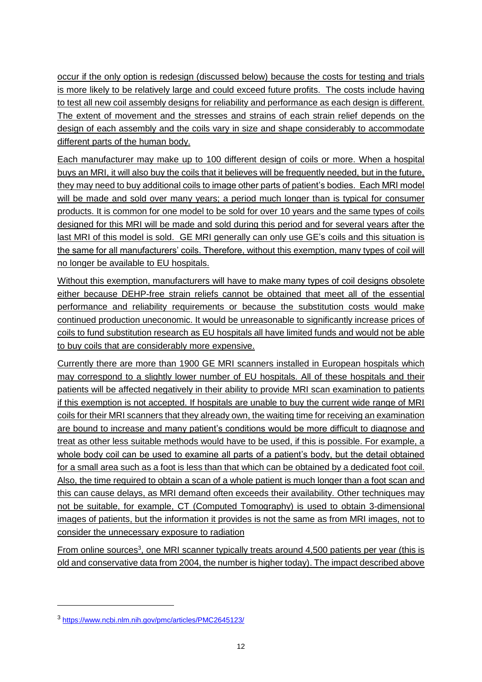occur if the only option is redesign (discussed below) because the costs for testing and trials is more likely to be relatively large and could exceed future profits. The costs include having to test all new coil assembly designs for reliability and performance as each design is different. The extent of movement and the stresses and strains of each strain relief depends on the design of each assembly and the coils vary in size and shape considerably to accommodate different parts of the human body.

Each manufacturer may make up to 100 different design of coils or more. When a hospital buys an MRI, it will also buy the coils that it believes will be frequently needed, but in the future, they may need to buy additional coils to image other parts of patient's bodies. Each MRI model will be made and sold over many years; a period much longer than is typical for consumer products. It is common for one model to be sold for over 10 years and the same types of coils designed for this MRI will be made and sold during this period and for several years after the last MRI of this model is sold. GE MRI generally can only use GE's coils and this situation is the same for all manufacturers' coils. Therefore, without this exemption, many types of coil will no longer be available to EU hospitals.

Without this exemption, manufacturers will have to make many types of coil designs obsolete either because DEHP-free strain reliefs cannot be obtained that meet all of the essential performance and reliability requirements or because the substitution costs would make continued production uneconomic. It would be unreasonable to significantly increase prices of coils to fund substitution research as EU hospitals all have limited funds and would not be able to buy coils that are considerably more expensive.

Currently there are more than 1900 GE MRI scanners installed in European hospitals which may correspond to a slightly lower number of EU hospitals. All of these hospitals and their patients will be affected negatively in their ability to provide MRI scan examination to patients if this exemption is not accepted. If hospitals are unable to buy the current wide range of MRI coils for their MRI scanners that they already own, the waiting time for receiving an examination are bound to increase and many patient's conditions would be more difficult to diagnose and treat as other less suitable methods would have to be used, if this is possible. For example, a whole body coil can be used to examine all parts of a patient's body, but the detail obtained for a small area such as a foot is less than that which can be obtained by a dedicated foot coil. Also, the time required to obtain a scan of a whole patient is much longer than a foot scan and this can cause delays, as MRI demand often exceeds their availability. Other techniques may not be suitable, for example, CT (Computed Tomography) is used to obtain 3-dimensional images of patients, but the information it provides is not the same as from MRI images, not to consider the unnecessary exposure to radiation

From online sources<sup>3</sup>, one MRI scanner typically treats around 4,500 patients per year (this is old and conservative data from 2004, the number is higher today). The impact described above

<sup>3</sup> <https://www.ncbi.nlm.nih.gov/pmc/articles/PMC2645123/>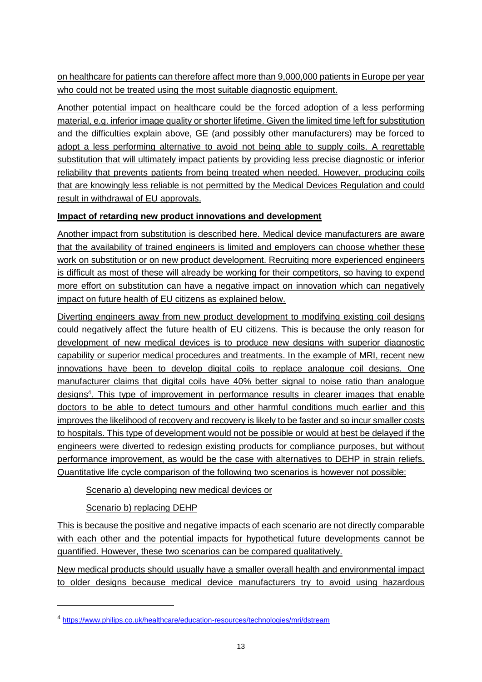on healthcare for patients can therefore affect more than 9,000,000 patients in Europe per year who could not be treated using the most suitable diagnostic equipment.

Another potential impact on healthcare could be the forced adoption of a less performing material, e.g. inferior image quality or shorter lifetime. Given the limited time left for substitution and the difficulties explain above, GE (and possibly other manufacturers) may be forced to adopt a less performing alternative to avoid not being able to supply coils. A regrettable substitution that will ultimately impact patients by providing less precise diagnostic or inferior reliability that prevents patients from being treated when needed. However, producing coils that are knowingly less reliable is not permitted by the Medical Devices Regulation and could result in withdrawal of EU approvals.

### **Impact of retarding new product innovations and development**

Another impact from substitution is described here. Medical device manufacturers are aware that the availability of trained engineers is limited and employers can choose whether these work on substitution or on new product development. Recruiting more experienced engineers is difficult as most of these will already be working for their competitors, so having to expend more effort on substitution can have a negative impact on innovation which can negatively impact on future health of EU citizens as explained below.

Diverting engineers away from new product development to modifying existing coil designs could negatively affect the future health of EU citizens. This is because the only reason for development of new medical devices is to produce new designs with superior diagnostic capability or superior medical procedures and treatments. In the example of MRI, recent new innovations have been to develop digital coils to replace analogue coil designs. One manufacturer claims that digital coils have 40% better signal to noise ratio than analogue designs<sup>4</sup>. This type of improvement in performance results in clearer images that enable doctors to be able to detect tumours and other harmful conditions much earlier and this improves the likelihood of recovery and recovery is likely to be faster and so incur smaller costs to hospitals. This type of development would not be possible or would at best be delayed if the engineers were diverted to redesign existing products for compliance purposes, but without performance improvement, as would be the case with alternatives to DEHP in strain reliefs. Quantitative life cycle comparison of the following two scenarios is however not possible:

Scenario a) developing new medical devices or

Scenario b) replacing DEHP

This is because the positive and negative impacts of each scenario are not directly comparable with each other and the potential impacts for hypothetical future developments cannot be quantified. However, these two scenarios can be compared qualitatively.

New medical products should usually have a smaller overall health and environmental impact to older designs because medical device manufacturers try to avoid using hazardous

<sup>&</sup>lt;sup>4</sup> <https://www.philips.co.uk/healthcare/education-resources/technologies/mri/dstream>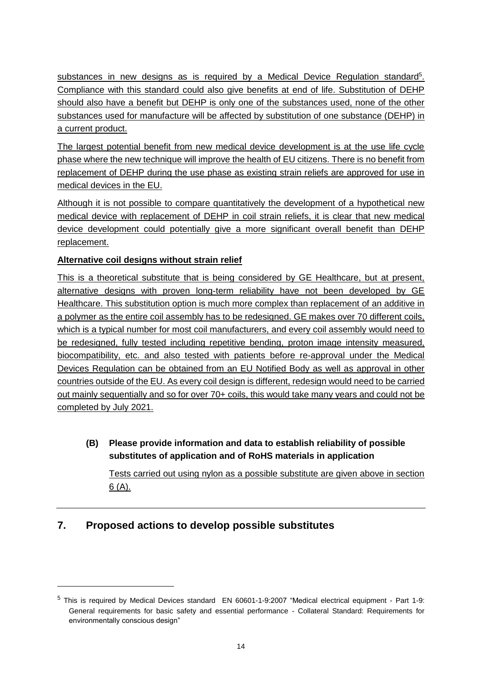substances in new designs as is required by a Medical Device Regulation standard<sup>5</sup>. Compliance with this standard could also give benefits at end of life. Substitution of DEHP should also have a benefit but DEHP is only one of the substances used, none of the other substances used for manufacture will be affected by substitution of one substance (DEHP) in a current product.

The largest potential benefit from new medical device development is at the use life cycle phase where the new technique will improve the health of EU citizens. There is no benefit from replacement of DEHP during the use phase as existing strain reliefs are approved for use in medical devices in the EU.

Although it is not possible to compare quantitatively the development of a hypothetical new medical device with replacement of DEHP in coil strain reliefs, it is clear that new medical device development could potentially give a more significant overall benefit than DEHP replacement.

### **Alternative coil designs without strain relief**

This is a theoretical substitute that is being considered by GE Healthcare, but at present, alternative designs with proven long-term reliability have not been developed by GE Healthcare. This substitution option is much more complex than replacement of an additive in a polymer as the entire coil assembly has to be redesigned. GE makes over 70 different coils, which is a typical number for most coil manufacturers, and every coil assembly would need to be redesigned, fully tested including repetitive bending, proton image intensity measured, biocompatibility, etc. and also tested with patients before re-approval under the Medical Devices Regulation can be obtained from an EU Notified Body as well as approval in other countries outside of the EU. As every coil design is different, redesign would need to be carried out mainly sequentially and so for over 70+ coils, this would take many years and could not be completed by July 2021.

**(B) Please provide information and data to establish reliability of possible substitutes of application and of RoHS materials in application**

Tests carried out using nylon as a possible substitute are given above in section 6 (A).

# **7. Proposed actions to develop possible substitutes**

<sup>5</sup> This is required by Medical Devices standard EN 60601-1-9:2007 "Medical electrical equipment - Part 1-9: General requirements for basic safety and essential performance - Collateral Standard: Requirements for environmentally conscious design"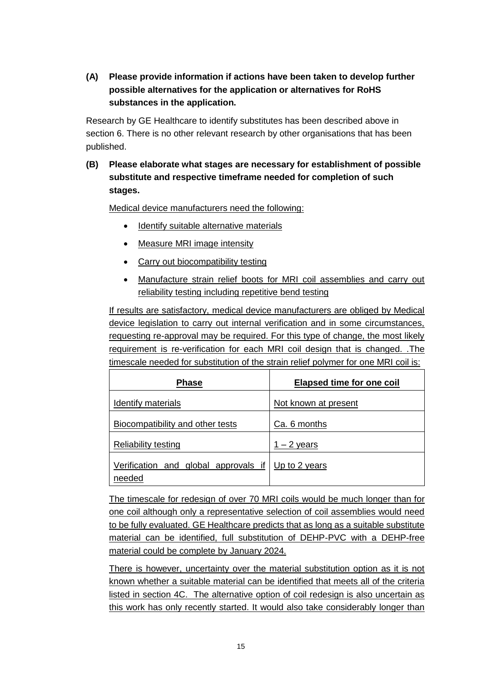**(A) Please provide information if actions have been taken to develop further possible alternatives for the application or alternatives for RoHS substances in the application.** 

Research by GE Healthcare to identify substitutes has been described above in section 6. There is no other relevant research by other organisations that has been published.

**(B) Please elaborate what stages are necessary for establishment of possible substitute and respective timeframe needed for completion of such stages.**

Medical device manufacturers need the following:

- Identify suitable alternative materials
- Measure MRI image intensity
- Carry out biocompatibility testing
- Manufacture strain relief boots for MRI coil assemblies and carry out reliability testing including repetitive bend testing

If results are satisfactory, medical device manufacturers are obliged by Medical device legislation to carry out internal verification and in some circumstances, requesting re-approval may be required. For this type of change, the most likely requirement is re-verification for each MRI coil design that is changed. .The timescale needed for substitution of the strain relief polymer for one MRI coil is:

| <b>Phase</b>                                                 | <b>Elapsed time for one coil</b> |
|--------------------------------------------------------------|----------------------------------|
| Identify materials                                           | Not known at present             |
| <b>Biocompatibility and other tests</b>                      | Ca. 6 months                     |
| <b>Reliability testing</b>                                   | $1 - 2$ years                    |
| Verification and global approvals if Up to 2 years<br>needed |                                  |

The timescale for redesign of over 70 MRI coils would be much longer than for one coil although only a representative selection of coil assemblies would need to be fully evaluated. GE Healthcare predicts that as long as a suitable substitute material can be identified, full substitution of DEHP-PVC with a DEHP-free material could be complete by January 2024.

There is however, uncertainty over the material substitution option as it is not known whether a suitable material can be identified that meets all of the criteria listed in section 4C. The alternative option of coil redesign is also uncertain as this work has only recently started. It would also take considerably longer than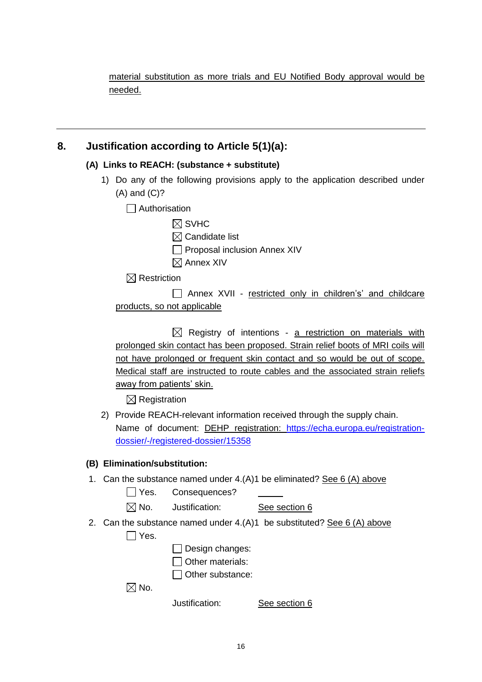material substitution as more trials and EU Notified Body approval would be needed.

### **8. Justification according to Article 5(1)(a):**

#### **(A) Links to REACH: (substance + substitute)**

- 1) Do any of the following provisions apply to the application described under (A) and (C)?
	- □ Authorisation

| $\boxtimes$ SVHC |  |
|------------------|--|
|                  |  |

- $\boxtimes$  Candidate list
- $\Box$  Proposal inclusion Annex XIV
- $\boxtimes$  Annex XIV

 $\boxtimes$  Restriction

| $\Box$ Annex XVII - restricted only in children's' and childcare |  |  |  |
|------------------------------------------------------------------|--|--|--|
| products, so not applicable                                      |  |  |  |

 $\boxtimes$  Registry of intentions - a restriction on materials with prolonged skin contact has been proposed. Strain relief boots of MRI coils will not have prolonged or frequent skin contact and so would be out of scope. Medical staff are instructed to route cables and the associated strain reliefs away from patients' skin.

 $\boxtimes$  Registration

2) Provide REACH-relevant information received through the supply chain. Name of document: **DEHP** registration: [https://echa.europa.eu/registration](https://echa.europa.eu/registration-dossier/-/registered-dossier/15358)[dossier/-/registered-dossier/15358](https://echa.europa.eu/registration-dossier/-/registered-dossier/15358)

#### **(B) Elimination/substitution:**

1. Can the substance named under  $4.(A)1$  be eliminated? See 6 (A) above

□ Yes. Consequences?

 $\boxtimes$  No. Justification: See section 6

- 2. Can the substance named under  $4.(A)1$  be substituted? See 6  $(A)$  above
	- $\Box$  Yes.

 $\Box$  Design changes:

 $\Box$  Other materials:

 $\Box$  Other substance:

 $\boxtimes$  No.

Justification: See section 6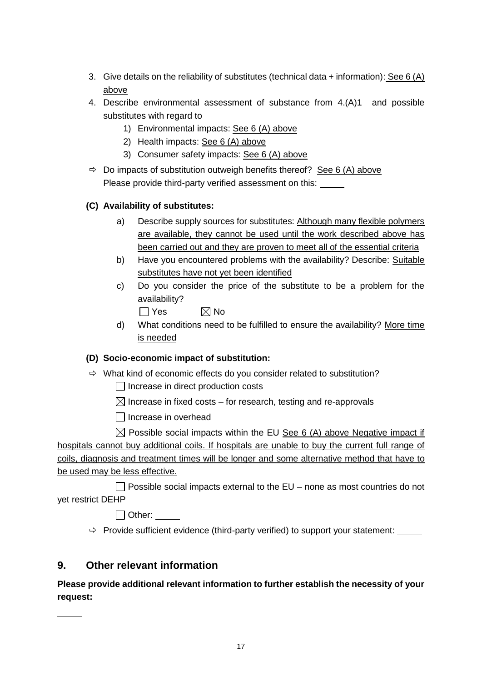- 3. Give details on the reliability of substitutes (technical data + information): See 6 (A) above
- 4. Describe environmental assessment of substance from 4.(A)1 and possible substitutes with regard to
	- 1) Environmental impacts: See 6 (A) above
	- 2) Health impacts: See 6 (A) above
	- 3) Consumer safety impacts: See 6 (A) above
- $\Rightarrow$  Do impacts of substitution outweigh benefits thereof? See 6 (A) above Please provide third-party verified assessment on this:

### **(C) Availability of substitutes:**

- a) Describe supply sources for substitutes: Although many flexible polymers are available, they cannot be used until the work described above has been carried out and they are proven to meet all of the essential criteria
- b) Have you encountered problems with the availability? Describe: Suitable substitutes have not yet been identified
- c) Do you consider the price of the substitute to be a problem for the availability?

 $\Box$  Yes  $\boxtimes$  No

d) What conditions need to be fulfilled to ensure the availability? More time is needed

### **(D) Socio-economic impact of substitution:**

- $\Rightarrow$  What kind of economic effects do you consider related to substitution?
	- $\Box$  Increase in direct production costs
	- $\boxtimes$  Increase in fixed costs for research, testing and re-approvals
	- $\Box$  Increase in overhead

 $\boxtimes$  Possible social impacts within the EU See 6 (A) above Negative impact if hospitals cannot buy additional coils. If hospitals are unable to buy the current full range of coils, diagnosis and treatment times will be longer and some alternative method that have to be used may be less effective.

 $\Box$  Possible social impacts external to the EU – none as most countries do not yet restrict DEHP

Other:

 $\Rightarrow$  Provide sufficient evidence (third-party verified) to support your statement:  $\frac{1}{\sqrt{1-\frac{1}{n}}}\sqrt{1-\frac{1}{n}}$ 

# **9. Other relevant information**

**Please provide additional relevant information to further establish the necessity of your request:**